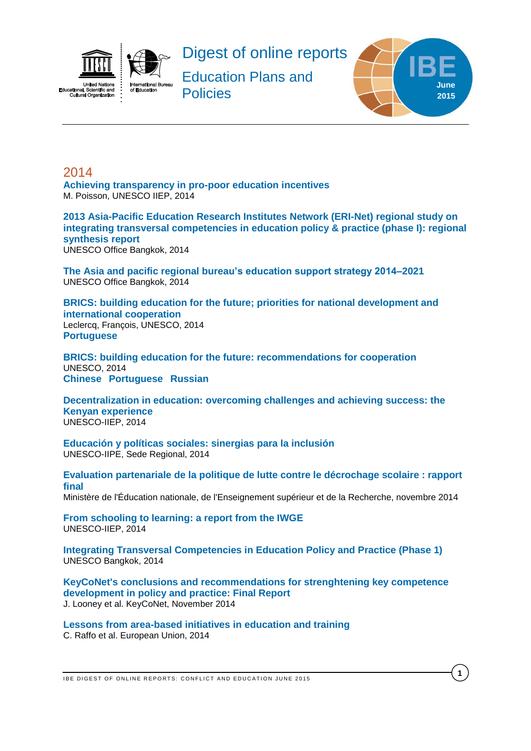



Digest of online reports

Education Plans and **Policies** 



**1**

# <span id="page-0-0"></span>2014

**[Achieving transparency in pro-poor education incentives](http://unesdoc.unesco.org/images/0022/002269/226982e.pdf)** M. Poisson, UNESCO IIEP, 2014

**[2013 Asia-Pacific Education Research Institutes Network \(ERI-Net\) regional study on](http://unesdoc.unesco.org/images/0022/002299/229957e.pdf)  [integrating transversal competencies in education policy & practice \(phase I\): regional](http://unesdoc.unesco.org/images/0022/002299/229957e.pdf)  [synthesis report](http://unesdoc.unesco.org/images/0022/002299/229957e.pdf)**

UNESCO Office Bangkok, 2014

**[The Asia and pacific regional bureau's education support strategy 2014–2021](http://www.unescobkk.org/fileadmin/user_upload/library/edocuments/BGK_ED_Strategy_25_Nov.pdf)** UNESCO Office Bangkok, 2014

**[BRICS: building education for the future; priorities for national development and](http://unesdoc.unesco.org/images/0022/002290/229054e.pdf)  [international cooperation](http://unesdoc.unesco.org/images/0022/002290/229054e.pdf)** Leclercq, François, UNESCO, 2014 **[Portuguese](http://unesdoc.unesco.org/images/0022/002296/229602por.pdf)**

**[BRICS: building education for the future: recommendations for cooperation](http://unesdoc.unesco.org/images/0022/002296/229692e.pdf)** UNESCO, 2014 **[Chinese](http://unesdoc.unesco.org/images/0022/002296/229692c.pdf) [Portuguese](http://unesdoc.unesco.org/images/0022/002296/229692por.pdf) [Russian](http://unesdoc.unesco.org/images/0022/002296/229692r.pdf)**

**[Decentralization in education: overcoming challenges and achieving success: the](http://unesdoc.unesco.org/images/0022/002298/229832e.pdf)  [Kenyan experience](http://unesdoc.unesco.org/images/0022/002298/229832e.pdf)** UNESCO-IIEP, 2014

**[Educación y políticas sociales: sinergias para la inclusión](http://unesdoc.unesco.org/images/0022/002297/229756s.pdf)** UNESCO-IIPE, Sede Regional, 2014

**[Evaluation partenariale de la politique de lutte contre le décrochage scolaire : rapport](http://www.ladocumentationfrancaise.fr/var/storage/rapports-publics/144000708/0000.pdf)  [final](http://www.ladocumentationfrancaise.fr/var/storage/rapports-publics/144000708/0000.pdf)** Ministère de l'Éducation nationale, de l'Enseignement supérieur et de la Recherche, novembre 2014

**[From schooling to learning: a report from the IWGE](http://unesdoc.unesco.org/images/0022/002283/228323e.pdf)** UNESCO-IIEP, 2014

**[Integrating Transversal Competencies in Education Policy and Practice \(Phase 1\)](http://www.unescobkk.org/fileadmin/user_upload/library/edocuments/Transversal_30_Sep.pdf)** UNESCO Bangkok, 2014

**[KeyCoNet's conclusions and recommendations for strenghtening key competence](http://keyconet.eun.org/c/document_library/get_file?uuid=78469b98-b49c-4e9a-a1ce-501199f7e8b3&groupId=11028)  [development in policy and practice: Final Report](http://keyconet.eun.org/c/document_library/get_file?uuid=78469b98-b49c-4e9a-a1ce-501199f7e8b3&groupId=11028)** J. Looney et al. KeyCoNet, November 2014

**[Lessons from area-based initiatives in education and training](http://www.nesetweb.eu/sites/default/files/Lessons%20from%20area-based%20initiatives%20in%20education%20and%20training%20-July%202014.pdf)** C. Raffo et al. European Union, 2014

IBE DIGEST OF ONLINE REPORTS: CONFLICT AND EDUCATION JUNE 2015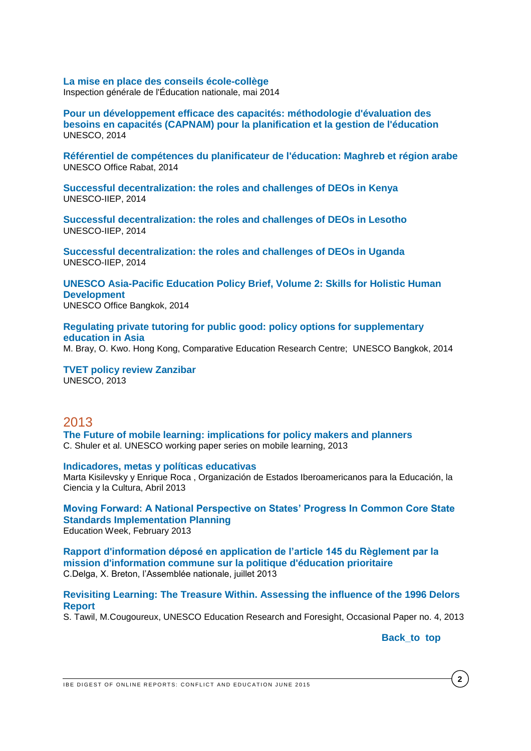### **[La mise en place des conseils école-collège](http://cache.media.education.gouv.fr/file/2014/72/3/2014-026_conseil_ecole_college_341723.pdf)**

Inspection générale de l'Éducation nationale, mai 2014

**[Pour un développement efficace des capacités: méthodologie d'évaluation des](http://unesdoc.unesco.org/images/0022/002289/228934f.pdf)  [besoins en capacités \(CAPNAM\) pour la planification et la gestion de l'éducation](http://unesdoc.unesco.org/images/0022/002289/228934f.pdf)** UNESCO, 2014

**[Référentiel de compétences du planificateur de l'éducation: Maghreb et région arabe](http://unesdoc.unesco.org/images/0022/002298/229814f.pdf)** UNESCO Office Rabat, 2014

**[Successful decentralization: the roles and challenges of DEOs in Kenya](http://unesdoc.unesco.org/images/0022/002282/228291e.pdf)** UNESCO-IIEP, 2014

**[Successful decentralization: the roles and challenges of DEOs in Lesotho](http://unesdoc.unesco.org/images/0022/002282/228292e.pdf)** UNESCO-IIEP, 2014

**[Successful decentralization: the roles and challenges of DEOs in Uganda](http://unesdoc.unesco.org/images/0022/002282/228293e.pdf)** UNESCO-IIEP, 2014

**[UNESCO Asia-Pacific Education Policy Brief, Volume 2: Skills for Holistic Human](http://www.unescobkk.org/fileadmin/user_upload/epr/PDF/Policy_Brief_Vol2-28_Nov.pdf)  [Development](http://www.unescobkk.org/fileadmin/user_upload/epr/PDF/Policy_Brief_Vol2-28_Nov.pdf)** UNESCO Office Bangkok, 2014

**[Regulating private tutoring for public good: policy options for supplementary](http://unesdoc.unesco.org/images/0022/002270/227026e.pdf)  [education in Asia](http://unesdoc.unesco.org/images/0022/002270/227026e.pdf)**

M. Bray, O. Kwo. Hong Kong, Comparative Education Research Centre; UNESCO Bangkok, 2014

**[TVET policy review Zanzibar](http://unesdoc.unesco.org/images/0022/002260/226084e.pdf)** UNESCO, 2013

# 2013

**[The Future of mobile learning: implications for policy makers and planners](http://unesdoc.unesco.org/images/0021/002196/219637e.pdf)** C. Shuler et al. UNESCO working paper series on mobile learning, 2013

#### **[Indicadores, metas y políticas educativas](http://www.oei.es/noticias/spip.php?article12114)**

Marta Kisilevsky y Enrique Roca , Organización de Estados Iberoamericanos para la Educación, la Ciencia y la Cultura, Abril 2013

**[Moving Forward: A National Perspective on States' Progress In Common Core State](http://www.edweek.org/media/movingforward_ef_epe_020413.pdf)  [Standards Implementation Planning](http://www.edweek.org/media/movingforward_ef_epe_020413.pdf)** Education Week, February 2013

**[Rapport d'information déposé en application de l'article 145 du Règlement par la](http://www.assemblee-nationale.fr/14/pdf/rap-info/i1295.pdf)  [mission d'information commune sur la politique d'éducation prioritaire](http://www.assemblee-nationale.fr/14/pdf/rap-info/i1295.pdf)** C.Delga, X. Breton, l'Assemblée nationale, juillet 2013

### **[Revisiting Learning: The Treasure Within. Assessing the influence of the 1996 Delors](http://unesdoc.unesco.org/images/0022/002200/220050E.pdf)  [Report](http://unesdoc.unesco.org/images/0022/002200/220050E.pdf)**

S. Tawil, M.Cougoureux, UNESCO Education Research and Foresight, Occasional Paper no. 4, 2013

Back to top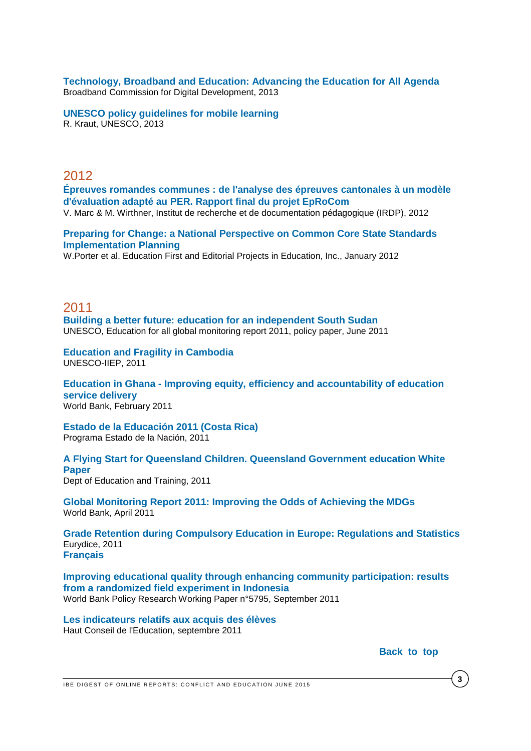**[Technology, Broadband and Education: Advancing the Education for All Agenda](http://www.broadbandcommission.org/work/working-groups/education/BD_bbcomm-education_2013.pdf)** Broadband Commission for Digital Development, 2013

**[UNESCO policy guidelines for mobile learning](http://unesdoc.unesco.org/images/0021/002196/219641e.pdf)** R. Kraut, UNESCO, 2013

# 2012

**[Épreuves romandes communes : de l'analyse des épreuves](http://publications.irdp.relation.ch/ftp/1346944046121.pdf) cantonales à un modèle [d'évaluation adapté au PER. Rapport final du projet EpRoCom](http://publications.irdp.relation.ch/ftp/1346944046121.pdf)** V. Marc & M. Wirthner, Institut de recherche et de documentation pédagogique (IRDP), 2012

**[Preparing for Change: a National Perspective on Common Core State Standards](http://www.edweek.org/media/preparingforchange-17standards.pdf)  [Implementation Planning](http://www.edweek.org/media/preparingforchange-17standards.pdf)**

W.Porter et al. Education First and Editorial Projects in Education, Inc., January 2012

2011 **[Building a better future: education for an independent South Sudan](http://unesdoc.unesco.org/images/0019/001930/193052e.pdf)** UNESCO, Education for all global monitoring report 2011, policy paper, June 2011

**[Education and Fragility in Cambodia](http://unesdoc.unesco.org/images/0021/002110/211049e.pdf)** UNESCO-IIEP, 2011

**Education in Ghana - [Improving equity, efficiency and accountability of education](https://openknowledge.worldbank.org/handle/10986/3012)  [service delivery](https://openknowledge.worldbank.org/handle/10986/3012)** World Bank, February 2011

**[Estado de la Educación 2011 \(Costa Rica\)](http://www.estadonacion.or.cr/index.php/biblioteca-virtual/costa-rica/educacion)** Programa Estado de la Nación, 2011

**A Flying Start for [Queensland Children. Queensland Government education White](http://deta.qld.gov.au/initiatives/flyingstart/pdfs/white-paper.pdf)  [Paper](http://deta.qld.gov.au/initiatives/flyingstart/pdfs/white-paper.pdf)** Dept of Education and Training, 2011

**[Global Monitoring Report 2011: Improving the Odds of Achieving the MDGs](http://web.worldbank.org/WBSITE/EXTERNAL/EXTDEC/EXTGLOBALMONITOR/EXTGLOMONREP2011/0,,contentMDK:22887591~menuPK:7856251~pagePK:64168445~piPK:64168309~theSitePK:7856232,00.html)** World Bank, April 2011

**[Grade Retention during Compulsory Education in Europe: Regulations and Statistics](http://eacea.ec.europa.eu/education/eurydice/documents/thematic_reports/126EN.pdf)** Eurydice, 2011 **[Français](http://eacea.ec.europa.eu/education/eurydice/documents/thematic_reports/126FR.pdf)**

**[Improving educational quality through enhancing community participation: results](http://www-wds.worldbank.org/external/default/main?pagePK=64193027&piPK=64187937&theSitePK=523679&menuPK=64187510&searchMenuPK=64187511&entityID=000158349_20110913123202&cid=3001_DECwps_Education)  [from a randomized field experiment in Indonesia](http://www-wds.worldbank.org/external/default/main?pagePK=64193027&piPK=64187937&theSitePK=523679&menuPK=64187510&searchMenuPK=64187511&entityID=000158349_20110913123202&cid=3001_DECwps_Education)** World Bank Policy Research Working Paper n°5795, September 2011

**[Les indicateurs relatifs aux acquis des élèves](http://www.hce.education.fr/gallery_files/site/21/114.pdf)** Haut Conseil de l'Education, septembre 2011

Back to top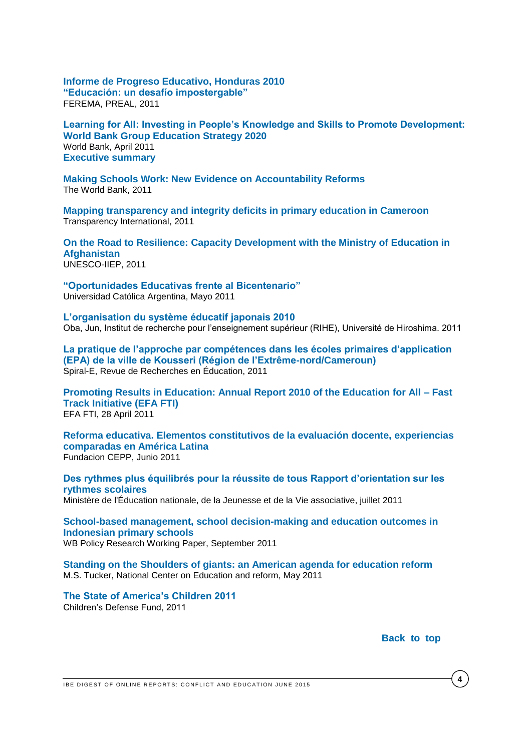**[Informe de Progreso Educativo, Honduras 2010](http://www.thedialogue.org/page.cfm?pageID=32&pubID=2633&s=PREAL)  ["Educación: un desafío impostergable"](http://www.thedialogue.org/page.cfm?pageID=32&pubID=2633&s=PREAL)** FEREMA, PREAL, 2011

**[Learning for All: Investing in People's Knowledge and Skills to Promote Development:](http://siteresources.worldbank.org/EDUCATION/Resources/ESSU/Education_Strategy_4_12_2011.pdf)  [World Bank Group Education Strategy 2020](http://siteresources.worldbank.org/EDUCATION/Resources/ESSU/Education_Strategy_4_12_2011.pdf)** World Bank, April 2011 **[Executive summary](http://siteresources.worldbank.org/EDUCATION/Resources/ESSU/463292-1306181142935/WB_ES_ExectiveSummary_FINAL.pdf)**

**[Making Schools Work: New Evidence on Accountability Reforms](http://web.worldbank.org/WBSITE/EXTERNAL/TOPICS/EXTEDUCATION/0,,contentMDK:22840768~pagePK:148956~piPK:216618~theSitePK:282386,00.html)** The World Bank, 2011

**[Mapping transparency and integrity deficits in primary education in Cameroon](http://www.transparency.org/whatwedo/pub/mapping_transparency_and_integrity_deficits_in_primary_education_in_camerooy)**  Transparency International, 2011

**[On the Road to Resilience: Capacity Development with the Ministry of Education in](http://unesdoc.unesco.org/images/0019/001915/191583e.pdf)  [Afghanistan](http://unesdoc.unesco.org/images/0019/001915/191583e.pdf)** UNESCO-IIEP, 2011

**["Oportunidades Educativas frente al Bicentenario"](http://www.uca.edu.ar/uca/index.php/comunicacion/gacetilla/es/universidad/comunicacion-institucional/gacetillas-de-prensa/2011/mayo/barometro-educacion)** Universidad Católica Argentina, Mayo 2011

**[L'organisation du système éducatif japonais 2010](http://home.hiroshima-u.ac.jp/oba/docs/jica2010.pdf)** Oba, Jun, Institut de recherche pour l'enseignement supérieur (RIHE), Université de Hiroshima. 2011

**[La pratique de l'approche par compétences dans les écoles primaires d'application](http://spirale-edu-revue.fr/spip.php?article1076)  [\(EPA\) de la ville de Kousseri \(Région de l'Extrême-nord/Cameroun\)](http://spirale-edu-revue.fr/spip.php?article1076)** Spiral-E, Revue de Recherches en Éducation, 2011

**[Promoting Results in Education: Annual Report 2010 of the Education for All –](http://www.globalpartnership.org/media/Misc./FastTrackInitiativeAnRptApr13.pdf) Fast [Track Initiative \(EFA FTI\)](http://www.globalpartnership.org/media/Misc./FastTrackInitiativeAnRptApr13.pdf)** EFA FTI, 28 April 2011

**[Reforma educativa. Elementos constitutivos de la evaluación docente, experiencias](http://www.fundacioncepp.org.ar/wp-content/uploads/2011/05/Pedro-Montt.-Paper-Seminario-Buenos-Aires1.pdf)  [comparadas en América Latina](http://www.fundacioncepp.org.ar/wp-content/uploads/2011/05/Pedro-Montt.-Paper-Seminario-Buenos-Aires1.pdf)** Fundacion CEPP, Junio 2011

**[Des rythmes plus équilibrés pour la réussite de tous Rapport d'orientation sur les](http://media.education.gouv.fr/file/06_juin/67/1/Rythmes_scolaires_rapport-d-orientation_184671.pdf)  [rythmes scolaires](http://media.education.gouv.fr/file/06_juin/67/1/Rythmes_scolaires_rapport-d-orientation_184671.pdf)** Ministère de l'Éducation nationale, de la Jeunesse et de la Vie associative, juillet 2011

**[School-based management, school decision-making and education outcomes in](http://www-wds.worldbank.org/external/default/main?pagePK=64193027&piPK=64187937&theSitePK=523679&menuPK=64187510&searchMenuPK=64187511&entityID=000158349_20110923083200&cid=3001_DECwps_Education)  [Indonesian primary schools](http://www-wds.worldbank.org/external/default/main?pagePK=64193027&piPK=64187937&theSitePK=523679&menuPK=64187510&searchMenuPK=64187511&entityID=000158349_20110923083200&cid=3001_DECwps_Education)** WB Policy Research Working Paper, September 2011

**[Standing on the Shoulders of giants: an American agenda for education reform](http://www.ncee.org/wp-content/uploads/2011/05/Standing-on-the-Shoulders-of-Giants-An-American-Agenda-for-Education-Reform.pdf)** M.S. Tucker, National Center on Education and reform, May 2011

**[The State of America's Children 2011](http://www.childrensdefense.org/child-research-data-publications/data/state-of-americas-2011.pdf)** Children's Defense Fund, 2011

Back to top

IBE DIGEST OF ONLINE REPORTS: CONFLICT AND EDUCATION JUNE 2015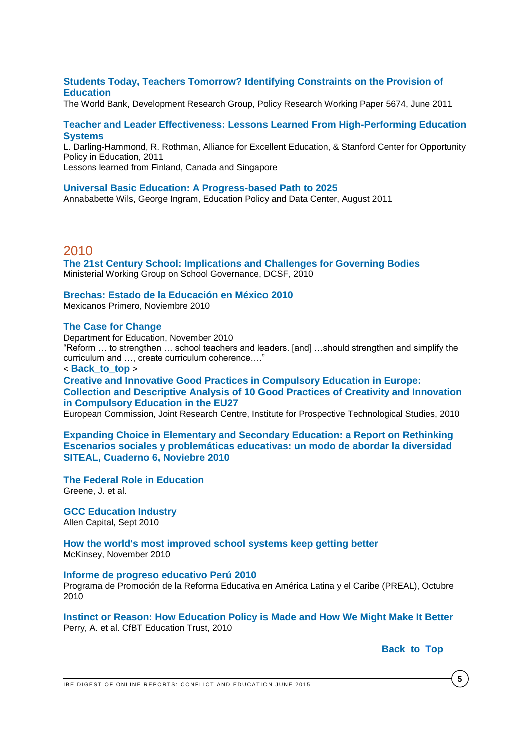# **[Students Today, Teachers Tomorrow? Identifying Constraints on the Provision of](http://www-wds.worldbank.org/external/default/WDSContentServer/WDSP/IB/2011/06/02/000158349_20110602163805/Rendered/PDF/WPS5674.pdf)  [Education](http://www-wds.worldbank.org/external/default/WDSContentServer/WDSP/IB/2011/06/02/000158349_20110602163805/Rendered/PDF/WPS5674.pdf)**

The World Bank, Development Research Group, Policy Research Working Paper 5674, June 2011

## **[Teacher and Leader Effectiveness: Lessons Learned From High-Performing Education](http://www.all4ed.org/files/TeacherLeaderEffectivenessReport.pdf)  [Systems](http://www.all4ed.org/files/TeacherLeaderEffectivenessReport.pdf)**

L. Darling-Hammond, R. Rothman, Alliance for Excellent Education, & Stanford Center for Opportunity Policy in Education, 2011

Lessons learned from Finland, Canada and Singapore

### **[Universal Basic Education: A Progress-based Path to 2025](http://www.epdc.org/sites/default/files/documents/Universal_Basic_Education_A_Progess-based_Path_to_2025.pdf)**

Annababette Wils, George Ingram, Education Policy and Data Center, August 2011

# 2010

**[The 21st Century School: Implications and Challenges for Governing Bodies](http://publications.teachernet.gov.uk/eOrderingDownload/DCSF-00351-2010.PDF)** Ministerial Working Group on School Governance, DCSF, 2010

## **[Brechas: Estado de la Educación en México 2010](http://www.mexicanosprimero.org/component/content/article/126-no-te-lo-pierd%20as/171-investigacion.html)**

Mexicanos Primero, Noviembre 2010

### **[The Case for Change](http://publications.education.gov.uk/eOrderingDownload/DFE-00564-2010.pdf)**

Department for Education, November 2010 "Reform … to strengthen … school teachers and leaders. [and] …should strengthen and simplify the curriculum and …, create curriculum coherence…." < **[Back\\_to\\_top](#page-0-0)** > **[Creative and Innovative Good Practices in Compulsory Education in Europe:](http://ftp.jrc.es/EURdoc/JRC59689_TN.pdf)  [Collection and Descriptive Analysis of 10 Good Practices of Creativity and Innovation](http://ftp.jrc.es/EURdoc/JRC59689_TN.pdf)** 

**[in Compulsory Education](http://ftp.jrc.es/EURdoc/JRC59689_TN.pdf) in the EU27**

European Commission, Joint Research Centre, Institute for Prospective Technological Studies, 2010

**[Expanding Choice in Elementary and Secondary Education: a Report on Rethinking](http://www.brookings.edu/~/media/Files/rc/reports/2010/0202_school_choice/0202_school_choice.pdf)  [Escenarios sociales y problemáticas educativas: un modo de abordar la](http://www.brookings.edu/~/media/Files/rc/reports/2010/0202_school_choice/0202_school_choice.pdf) diversidad [SITEAL, Cuaderno 6, Noviebre 2010](http://www.brookings.edu/~/media/Files/rc/reports/2010/0202_school_choice/0202_school_choice.pdf)**

**[The Federal Role in Education](http://www.brookings.edu/~/media/Files/rc/reports/2010/0202_school_choice/0202_school_choice.pdf)** Greene, J. et al.

**[GCC Education Industry](http://www.alpencapital.com/includes/GCC-Education-Industry-Report-September-2010.pdf)** Allen Capital, Sept 2010

**[How the world's most improved school systems keep getting better](http://www.mckinsey.com/clientservice/Social_Sector/our_practices/Education/Knowledge_Highlights/How%20School%20Systems%20Get%20Better.aspx)** McKinsey, November 2010

#### **[Informe de progreso educativo Perú 2010](http://www.preal.org/NoticiaDetalleNN.asp?Id_Noticia=495)**

Programa de Promoción de la Reforma Educativa en América Latina y el Caribe (PREAL), Octubre 2010

**[Instinct or Reason: How Education Policy is Made and How We Might Make It Better](http://www.cfbt.com/evidenceforeducation/our_research/evidence_for_government/funding_education_in_england/instinct_or_reason.aspx)** Perry, A. et al. CfBT Education Trust, 2010

# **[Back\\_to](#page-0-0) Top**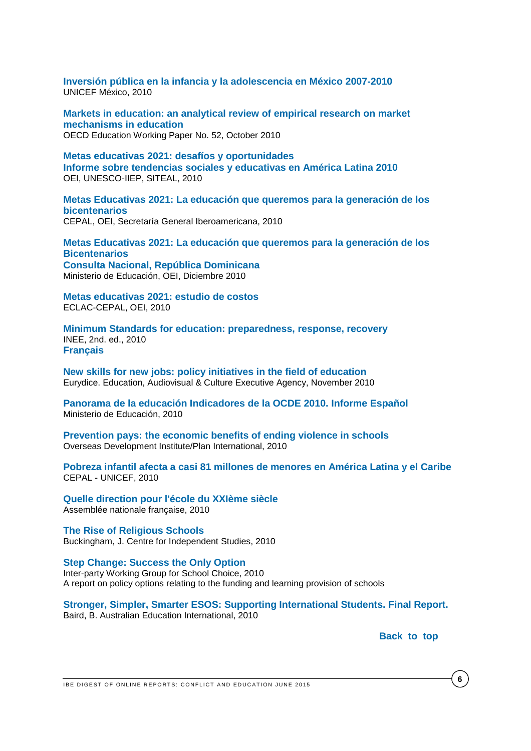**[Inversión pública en la infancia y la adolescencia en México 2007-2010](http://www.unicef.org/mexico/spanish/InversionBAJAfinal.pdf)** UNICEF México, 2010

**[Markets in education: an analytical review of empirical research on market](http://search.oecd.org/officialdocuments/displaydocumentpdf/?cote=EDU/WKP%282010%2915&docLanguage=En)  [mechanisms in education](http://search.oecd.org/officialdocuments/displaydocumentpdf/?cote=EDU/WKP%282010%2915&docLanguage=En)** OECD Education Working Paper No. 52, October 2010

**[Metas educativas 2021: desafíos y oportunidades](http://unesdoc.unesco.org/images/0018/001899/189945s.pdf) [Informe sobre tendencias sociales y educativas en América Latina 2010](http://unesdoc.unesco.org/images/0018/001899/189945s.pdf)** OEI, UNESCO-IIEP, SITEAL, 2010

**[Metas Educativas 2021: La educación que queremos para la generación de los](http://www.oei.es/metas2021/libro.htm)  [bicentenarios](http://www.oei.es/metas2021/libro.htm)**  CEPAL, OEI, Secretaría General Iberoamericana, 2010

**[Metas Educativas 2021: La educación que queremos para la generación de los](http://www.oei.es/metas2021/metas2021dom.pdf)  [Bicentenarios](http://www.oei.es/metas2021/metas2021dom.pdf)  [Consulta Nacional, República Dominicana](http://www.oei.es/metas2021/metas2021dom.pdf)** Ministerio de Educación, OEI, Diciembre 2010

**[Metas educativas 2021: estudio de costos](http://www.eclac.cl/publicaciones/xml/0/40520/metas-educativas-2021.pdf)** ECLAC-CEPAL, OEI, 2010

**[Minimum Standards for education: preparedness, response, recovery](http://toolkit.ineesite.org/toolkit/Toolkit.php?PostID=1002)**  INEE, 2nd. ed., 2010 **[Français](http://toolkit.ineesite.org/toolkit/INEEcms/uploads/1012/INEE_Minimum_Standards_French_2010.pdf)**

**[New skills for new jobs: policy initiatives in the field of education](http://eacea.ec.europa.eu/education/eurydice/documents/thematic_reports/125EN.pdf)** Eurydice. Education, Audiovisual & Culture Executive Agency, November 2010

**[Panorama de la educación Indicadores de la OCDE 2010. Informe Español](http://www.educacion.es/dctm/ministerio/horizontales/prensa/documentos/2010/septiembre/pg-informe-espanol-panorama-de-la-educacion-2010-ver-6sep.pdf?documentId=0901e72b803fbabb)** Ministerio de Educación, 2010

**[Prevention pays: the economic benefits of ending violence in schools](http://plan-international.org/files/global/publications/campaigns/Plan%20LWF%20ODI%20Report%20221010.pdf)** Overseas Development Institute/Plan International, 2010

**[Pobreza infantil afecta a casi 81 millones de menores en América Latina y el Caribe](http://www.cepal.org/cgi-bin/getProd.asp?xml=/prensa/noticias/comunicados/0/43450/P43450.xml&xsl=/prensa/tpl/p6f.xsl&base=/tpl/top-bottom.xsl)** CEPAL - UNICEF, 2010

**[Quelle direction pour l'école du XXIème siècle](http://media.education.gouv.fr/file/2010/27/0/Rappport-Quelle-direction-pour-ecole-XXI-siecle_155270.pdf)** Assemblée nationale française, 2010

**[The Rise of Religious Schools](http://www.cis.org.au/images/stories/policy-monographs/pm-111.pdf)** Buckingham, J. Centre for Independent Studies, 2010

**[Step Change: Success the Only Option](http://nationalmps.co.nz/LinkClick.aspx?fileticket=aIbTOh5V64M%3D&tabid=232)** Inter-party Working Group for School Choice, 2010 A report on policy options relating to the funding and learning provision of schools

**[Stronger, Simpler, Smarter ESOS: Supporting International Students. Final Report.](http://www.kentinstitute.nsw.edu.au/pdf/ESOS_act_bruce_baird.pdf)** Baird, B. Australian Education International, 2010

Back to top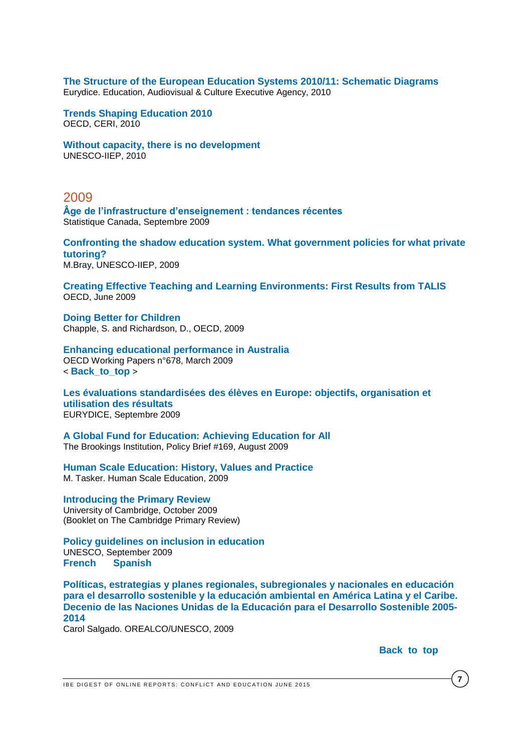**[The Structure of the European Education Systems 2010/11: Schematic Diagrams](http://www.nvao.net/page/downloads/European_Education_Systems_-_Eurydice_Network.pdf)** Eurydice. Education, Audiovisual & Culture Executive Agency, 2010

**[Trends Shaping Education 2010](http://www.oecdbookshop.org/oecd/display.asp?lang=en&sf1=DI&st1=5KMBVK2X7GJK)** OECD, CERI, 2010

**[Without capacity, there is no development](http://unesdoc.unesco.org/images/0018/001870/187066e.pdf)** UNESCO-IIEP, 2010

# 2009

**[Âge de l'infrastructure d'enseignement : tendances récentes](http://www.statcan.gc.ca/pub/11-621-m/11-621-m2009081-fra.pdf)** Statistique Canada, Septembre 2009

**[Confronting the shadow education system.](http://unesdoc.unesco.org/images/0018/001851/185106e.pdf) What government policies for what private [tutoring?](http://unesdoc.unesco.org/images/0018/001851/185106e.pdf)** M.Bray, UNESCO-IIEP, 2009

**[Creating Effective Teaching and Learning Environments: First Results from TALIS](http://www.oecd.org/dataoecd/17/51/43023606.pdf)** OECD, June 2009

**[Doing Better for Children](http://youth-partnership-eu.coe.int/youth-partnership/documents/EKCYP/Youth_Policy/docs/Health/Policy/OECD2009-DoingBetterForChildren-Final.pdf)** Chapple, S. and Richardson, D., OECD, 2009

**[Enhancing educational performance in Australia](http://www.oecd-ilibrary.org/economics/enhancing-educational-performance-in-australia_22636142361)** OECD Working Papers n°678, March 2009 < **[Back\\_to\\_top](#page-0-0)** >

**[Les évaluations standardisées des élèves en Europe: objectifs, organisation et](http://eacea.ec.europa.eu/education/eurydice/documents/thematic_reports/109FR.pdf)  [utilisation des résultats](http://eacea.ec.europa.eu/education/eurydice/documents/thematic_reports/109FR.pdf)** EURYDICE, Septembre 2009

**[A Global Fund for Education: Achieving Education for All](http://www.brookings.edu/~/media/Files/rc/papers/2009/08_education_gartner/08_education_gartner.pdf)** The Brookings Institution, Policy Brief #169, August 2009

**[Human Scale Education: History, Values and Practice](http://www.stanleyparkhigh.org.uk/17/human-scale-education)**

M. Tasker. Human Scale Education, 2009

## **[Introducing the Primary Review](http://www.primaryreview.org.uk/Downloads/Finalreport/CPR-booklet_low-res.pdf)**

University of Cambridge, October 2009 (Booklet on The Cambridge Primary Review)

**[Policy guidelines on inclusion in education](http://unesdoc.unesco.org/images/0017/001778/177849e.pdf)** UNESCO, September 2009 **[French](http://unesdoc.unesco.org/images/0017/001778/177849f.pdf) [Spanish](http://unesdoc.unesco.org/images/0017/001778/177849s.pdf)**

**[Políticas, estrategias y planes regionales, subregionales y nacionales en educación](http://unesdoc.unesco.org/images/0018/001819/181906S.pdf)  [para el desarrollo sostenible y la educación ambiental en América Latina y el Caribe.](http://unesdoc.unesco.org/images/0018/001819/181906S.pdf) [Decenio de las Naciones Unidas de la Educación para el Desarrollo Sostenible 2005-](http://unesdoc.unesco.org/images/0018/001819/181906S.pdf) [2014](http://unesdoc.unesco.org/images/0018/001819/181906S.pdf)**

Carol Salgado. OREALCO/UNESCO, 2009

Back to top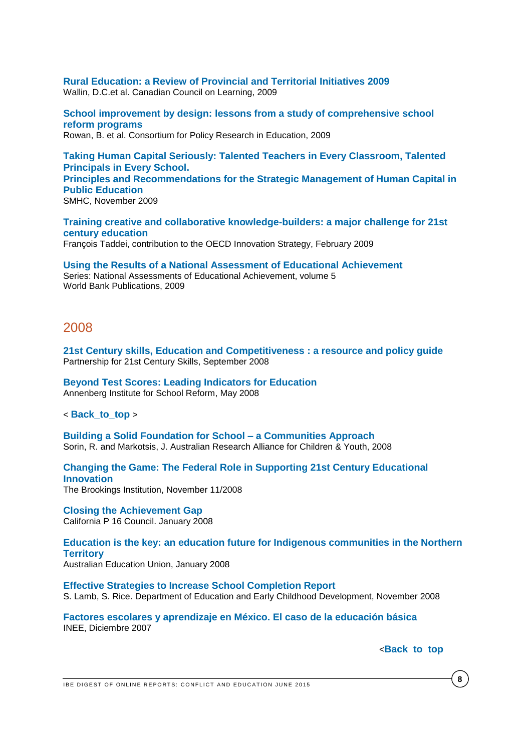**[Rural Education: a Review of Provincial and Territorial Initiatives 2009](http://www.ccl-cca.ca/pdfs/OtherReports/RuralEducation.pdf)** Wallin, D.C.et al. Canadian Council on Learning, 2009

**[School improvement by design: lessons from a study of comprehensive school](http://www.cpre.org/images/stories/cpre_pdfs/sii%20final%20report_web%20file.pdf)  [reform programs](http://www.cpre.org/images/stories/cpre_pdfs/sii%20final%20report_web%20file.pdf)** Rowan, B. et al. Consortium for Policy Research in Education, 2009

**[Taking Human Capital Seriously: Talented Teachers in Every Classroom, Talented](http://www.smhc-cpre.org/download/87/)  [Principals in Every School.](http://www.smhc-cpre.org/download/87/) [Principles and Recommendations for the Strategic Management of Human Capital in](http://www.smhc-cpre.org/download/87/)  [Public Education](http://www.smhc-cpre.org/download/87/)** SMHC, November 2009

**[Training creative and collaborative knowledge-builders: a major challenge for 21st](http://www.cri-paris.org/docs/ocde-francois-taddei-fev2009.pdf)  [century education](http://www.cri-paris.org/docs/ocde-francois-taddei-fev2009.pdf)** François Taddei, contribution to the OECD Innovation Strategy, February 2009

**[Using the Results of a National Assessment of Educational Achievement](http://siteresources.worldbank.org/EDUCATION/Resources/278200-1099079877269/547664-1222888444288/National_assessment_Vol5.pdf)** Series: National Assessments of Educational Achievement, volume 5 World Bank Publications, 2009

# 2008

**[21st Century skills, Education and Competitiveness : a resource and policy guide](http://www.p21.org/storage/documents/21st_century_skills_education_and_competitiveness_guide.pdf)** Partnership for 21st Century Skills, September 2008

**[Beyond Test Scores: Leading Indicators for Education](http://www.annenberginstitute.org/pdf/LeadingIndicators.pdf)** Annenberg Institute for School Reform, May 2008

< **[Back\\_to\\_top](#page-0-0)** >

**[Building a Solid Foundation for School –](http://www.aracy.org.au/publications-resources/command/download_file/id/78/filename/Building_a_solid_foundation_for_school_-_a_communities_approach.pdf) a Communities Approach** Sorin, R. and Markotsis, J. Australian Research Alliance for Children & Youth, 2008

**[Changing the Game: The Federal Role in Supporting 21st Century Educational](http://www.brookings.edu/research/reports/2008/10/16-education-mead-rotherham)  [Innovation](http://www.brookings.edu/research/reports/2008/10/16-education-mead-rotherham)** The Brookings Institution, November 11/2008

**[Closing the Achievement Gap](http://svefoundation.org/svefoundation/files/p16_ctag_report.pdf)** California P 16 Council. January 2008

**[Education is the key: an education future for Indigenous communities in the Northern](http://www.aeufederal.org.au/Publications/Educationisthekey.pdf)  [Territory](http://www.aeufederal.org.au/Publications/Educationisthekey.pdf)** Australian Education Union, January 2008

**[Effective Strategies to Increase School Completion Report](http://www.eduweb.vic.gov.au/edulibrary/public/postcomp/effectivestrategiesreportprint.pdf)** S. Lamb, S. Rice. Department of Education and Early Childhood Development, November 2008

**[Factores escolares y aprendizaje en México. El caso de la educación básica](http://www.oei.es/pdfs/factores_escolares_aprendizaje_mexico.pdf)** INEE, Diciembre 2007

<**[Back\\_to\\_top](#page-0-0)**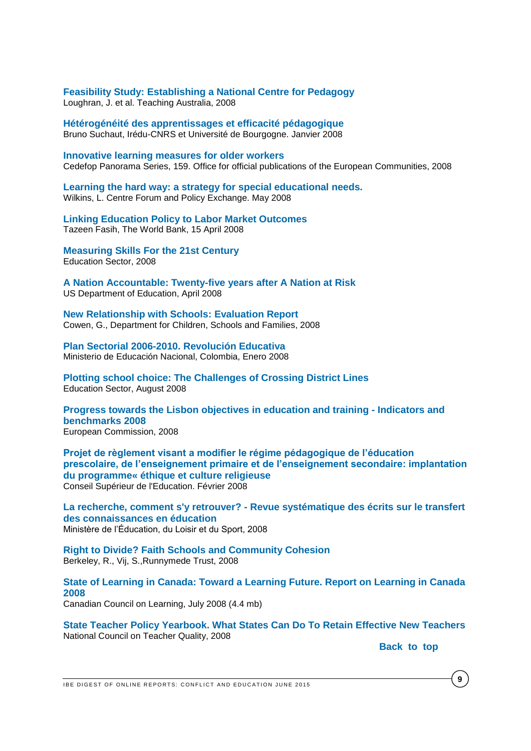**[Feasibility Study: Establishing a National Centre for Pedagogy](http://www.aitsl.edu.au/verve/_resources/Feasibility_study_-_Establishing_a_national_centre_for_pedagogy.pdf)** Loughran, J. et al. Teaching Australia, 2008

**[Hétérogénéité des apprentissages et efficacité pédagogique](http://halshs.archives-ouvertes.fr/docs/00/22/13/74/PDF/08002.pdf)** Bruno Suchaut, Irédu-CNRS et Université de Bourgogne. Janvier 2008

**[Innovative learning measures for older workers](http://www.cedefop.europa.eu/EN/Files/5178_en.pdf)** Cedefop Panorama Series, 159. Office for official publications of the European Communities, 2008

**[Learning the hard way: a strategy for special educational needs.](http://image.guardian.co.uk/sys-files/Education/documents/2008/05/07/centreforum.pdf)** Wilkins, L. Centre Forum and Policy Exchange. May 2008

**[Linking Education Policy to Labor Market Outcomes](http://siteresources.worldbank.org/EDUCATION/Resources/278200-1099079877269/547664-1208379365576/DID_Labor_market_outcomes.pdf)** Tazeen Fasih, The World Bank, 15 April 2008

**[Measuring Skills For the 21st Century](http://www.educationsector.org/usr_doc/MeasuringSkills.pdf)** Education Sector, 2008

**[A Nation Accountable: Twenty-five years after A Nation at Risk](http://www.ed.gov/rschstat/research/pubs/accountable/accountable.pdf)** US Department of Education, April 2008

**[New Relationship with Schools: Evaluation Report](https://www.education.gov.uk/publications/eOrderingDownload/DCSF-RR050.pdf)** Cowen, G., Department for Children, Schools and Families, 2008

**[Plan Sectorial 2006-2010. Revolución Educativa](http://www.oei.es/pdfs/plan_sectorial_colombia.pdf)** Ministerio de Educación Nacional, Colombia, Enero 2008

**[Plotting school choice: The Challenges of Crossing District Lines](http://www.educationsector.org/usr_doc/Interdistrict_Choice.pdf)** Education Sector, August 2008

**[Progress towards the Lisbon objectives in education and training -](http://ec.europa.eu/education/policies/2010/progressreport_en.html) Indicators and [benchmarks 2008](http://ec.europa.eu/education/policies/2010/progressreport_en.html)** European Commission, 2008

**[Projet de règlement visant a modifier le régime pédagogique de l'éducation](http://www.cse.gouv.qc.ca/fichiers/documents/publications/Avis/50-0458.pdf)  [prescolaire, de l'enseignement primaire et de l'enseignement secondaire: implantation](http://www.cse.gouv.qc.ca/fichiers/documents/publications/Avis/50-0458.pdf)  [du programme« éthique et culture religieuse](http://www.cse.gouv.qc.ca/fichiers/documents/publications/Avis/50-0458.pdf)** Conseil Supérieur de l'Education. Février 2008

**La recherche, comment s'y retrouver? - [Revue systématique des écrits sur le transfert](http://www.mels.gouv.qc.ca/sections/publications/publications/SICA/DRSI/LaRechercheCommentSYRetrouver.pdf)  [des connaissances en éducation](http://www.mels.gouv.qc.ca/sections/publications/publications/SICA/DRSI/LaRechercheCommentSYRetrouver.pdf)** Ministère de l'Éducation, du Loisir et du Sport, 2008

**[Right to Divide? Faith Schools and Community Cohesion](http://www.runnymedetrust.org/uploads/publications/pdfs/RightToDivide-2008.pdf)** Berkeley, R., Vij, S.,Runnymede Trust, 2008

**[State of Learning in Canada: Toward a Learning Future. Report on Learning in Canada](http://www.ccl-cca.ca/pdfs/SOLR/2008/SOLR_08_English_final.pdf)  [2008](http://www.ccl-cca.ca/pdfs/SOLR/2008/SOLR_08_English_final.pdf)**

Canadian Council on Learning, July 2008 (4.4 mb)

**[State Teacher Policy Yearbook. What States Can Do To Retain Effective New Teachers](http://www.nctq.org/stpy08/reports/stpy_national.pdf)** National Council on Teacher Quality, 2008

**Back** to top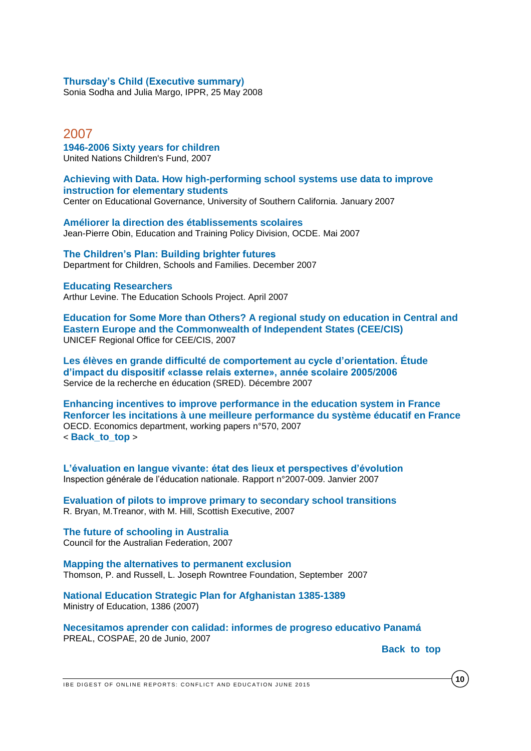### **[Thursday's Child \(Executive summary\)](http://www.ippr.org/publications/55/1642/thursdays-child)**

Sonia Sodha and Julia Margo, IPPR, 25 May 2008

2007 **[1946-2006 Sixty years for children](http://www.scribd.com/UNICEF/d/41581831-UNICEF-1946-2006-Sixty-Years-for-Children)** United Nations Children's Fund, 2007

**[Achieving with Data. How high-performing school systems use data to improve](http://www.newschools.org/viewpoints/AchievingWithData.pdf)  [instruction for elementary students](http://www.newschools.org/viewpoints/AchievingWithData.pdf)**

Center on Educational Governance, University of Southern California. January 2007

**[Améliorer la direction des établissements scolaires](http://www.oecd.org/dataoecd/63/53/39487500.pdf)** Jean-Pierre Obin, Education and Training Policy Division, OCDE. Mai 2007

**[The Children's Plan: Building brighter futures](http://www.educationengland.org.uk/documents/pdfs/2007-children%27s-plan.pdf)** Department for Children, Schools and Families. December 2007

#### **[Educating Researchers](http://www.edschools.org/EducatingResearchers/educating_researchers.pdf)**

Arthur Levine. The Education Schools Project. April 2007

**[Education for Some More than Others? A regional study on education in Central and](http://www.crin.org/docs/Regional_Education_Study.pdf)  [Eastern Europe and the Commonwealth of Independent States \(CEE/CIS\)](http://www.crin.org/docs/Regional_Education_Study.pdf)** UNICEF Regional Office for CEE/CIS, 2007

**[Les élèves en grande difficulté de comportement au cycle d'orientation. Étude](http://www.ge.ch/recherche-education/doc/publications/docsred/2007/disp-c-relais.pdf)  [d'impact du dispositif «classe relais externe», année scolaire 2005/2006](http://www.ge.ch/recherche-education/doc/publications/docsred/2007/disp-c-relais.pdf)** Service de la recherche en éducation (SRED). Décembre 2007

**Enhancing incentives to [improve performance in the education system in France](http://ideas.repec.org/p/oec/ecoaaa/570-en.html) [Renforcer les incitations à une meilleure performance du système éducatif en France](http://ideas.repec.org/p/oec/ecoaaa/570-en.html)** OECD. Economics department, working papers n°570, 2007 < **[Back\\_to\\_top](#page-0-0)** >

**[L'évaluation en langue vivante: état des lieux et perspectives d'évolution](http://media.education.gouv.fr/file/45/2/4452.pdf)** Inspection générale de l'éducation nationale. Rapport n°2007-009. Janvier 2007

**[Evaluation of pilots to improve primary to secondary school transitions](http://www.scotland.gov.uk/Resource/Doc/163851/0044590.pdf)** R. Bryan, M.Treanor, with M. Hill, Scottish Executive, 2007

**[The future of schooling in Australia](http://education.qld.gov.au/publication/production/reports/pdfs/federalist-paper.pdf)** Council for the Australian Federation, 2007

**[Mapping the alternatives to permanent exclusion](http://www.jrf.org.uk/bookshop/eBooks/2073-exclusion-alternatives-education.pdf)** Thomson, P. and Russell, L. Joseph Rowntree Foundation, September 2007

**[National Education Strategic Plan for Afghanistan 1385-1389](http://ebookbrowse.com/national-education-strategic-plan-pdf-d179243184)** Ministry of Education, 1386 (2007)

**[Necesitamos aprender con calidad: informes de progreso educativo Panamá](http://www.thedialogue.org/PublicationFiles/Panama%20RC%20-%20FINAL.pdf)** PREAL, COSPAE, 20 de Junio, 2007

Back to top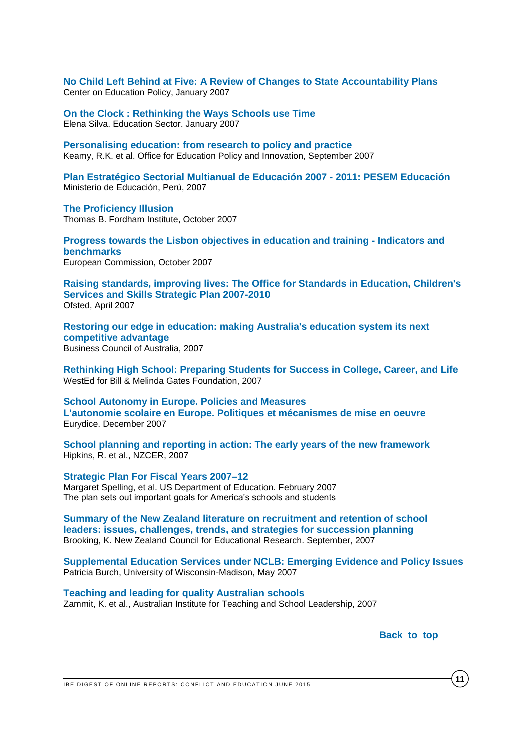**[No Child Left Behind at Five: A Review of Changes to State Accountability Plans](http://www.cep-dc.org/displayDocument.cfm?DocumentID=241)** Center on Education Policy, January 2007

**[On the Clock : Rethinking the Ways Schools use Time](http://www.educationsector.org/usr_doc/OntheClock.pdf)** Elena Silva. Education Sector. January 2007

**[Personalising education: from research to policy and practice](http://www.eduweb.vic.gov.au/edulibrary/public/publ/research/publ/personalising-education-report.pdf)** Keamy, R.K. et al. Office for Education Policy and Innovation, September 2007

**Plan Estratégico Sectorial [Multianual de Educación 2007 -](http://www.oei.es/pdfs/PESEM-2007-2011.pdf) 2011: PESEM Educación** Ministerio de Educación, Perú, 2007

**[The Proficiency Illusion](http://www.edexcellence.net/publications/theproficiencyillusion.html)** Thomas B. Fordham Institute, October 2007

**[Progress towards the Lisbon objectives in education and training -](http://ec.europa.eu/education/policies/2010/progressreport_en.html) Indicators and [benchmarks](http://ec.europa.eu/education/policies/2010/progressreport_en.html)** European Commission, October 2007

**[Raising standards, improving lives: The Office for Standards in Education, Children's](http://www.ofsted.gov.uk/resources/raising-standards-improving-lives-office-for-standards-education-childrens-services-and-skills-strat)  [Services and Skills Strategic Plan 2007-2010](http://www.ofsted.gov.uk/resources/raising-standards-improving-lives-office-for-standards-education-childrens-services-and-skills-strat)** Ofsted, April 2007

**[Restoring our edge in education: making Australia's education system its next](http://www.bca.com.au/DisplayFile.aspx?FileID=224)  [competitive advantage](http://www.bca.com.au/DisplayFile.aspx?FileID=224)**  Business Council of Australia, 2007

**[Rethinking High School: Preparing Students for Success in College, Career, and Life](http://www.wested.org/online_pubs/gf-07-02.pdf)** WestEd for Bill & Melinda Gates Foundation, 2007

**[School Autonomy in Europe. Policies and Measures](http://eacea.ec.europa.eu/education/eurydice/documents/thematic_reports/090EN.pdf) [L'autonomie scolaire en Europe. Politiques et mécanismes de mise en oeuvre](http://eacea.ec.europa.eu/education/eurydice/documents/thematic_reports/090EN.pdf)** Eurydice. December 2007

**[School planning and reporting in action: The early years of the new framework](http://www.nzcer.org.nz/pdfs/15274.pdf)** Hipkins, R. et al., NZCER, 2007

**[Strategic Plan For Fiscal Years 2007–12](http://www.state.gov/documents/organization/86291.pdf)** Margaret Spelling, et al. US Department of Education. February 2007 The plan sets out important goals for America's schools and students

**[Summary of the New Zealand literature on recruitment and retention of school](http://www.nzcer.org.nz/pdfs/15511.pdf)  [leaders: issues, challenges, trends, and strategies for succession planning](http://www.nzcer.org.nz/pdfs/15511.pdf)** Brooking, K. New Zealand Council for Educational Research. September, 2007

**[Supplemental Education Services under NCLB: Emerging Evidence and Policy Issues](http://epsl.asu.edu/epru/documents/EPSL-0705-232-EPRU.pdf)** Patricia Burch, University of Wisconsin-Madison, May 2007

**[Teaching and leading for quality Australian schools](http://www.aitsl.edu.au/verve/_resources/Teaching_and_Leading_for_Quality_Australian_Schools.pdf)** Zammit, K. et al., Australian Institute for Teaching and School Leadership, 2007

Back to top